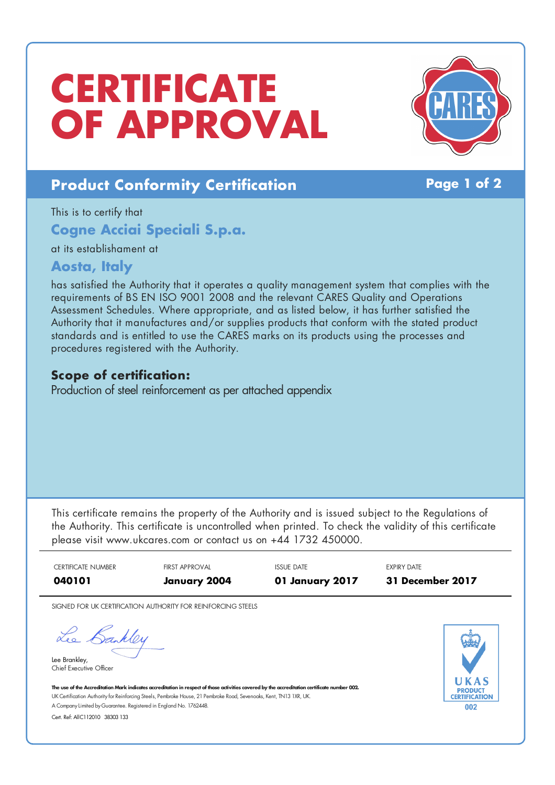# **CERTIFICATE OF APPROVAL**



## **Product Conformity Certification Page 1 of 2**

This is to certify that

**Cogne Acciai Speciali S.p.a.**

at its establishament at

### **Aosta, Italy**

has satisfied the Authority that it operates a quality management system that complies with the requirements of BS EN ISO 9001 2008 and the relevant CARES Quality and Operations Assessment Schedules. Where appropriate, and as listed below, it has further satisfied the Authority that it manufactures and/or supplies products that conform with the stated product standards and is entitled to use the CARES marks on its products using the processes and procedures registered with the Authority.

## **Scope of certification:**

Production of steel reinforcement as per attached appendix

This certificate remains the property of the Authority and is issued subject to the Regulations of the Authority. This certificate is uncontrolled when printed. To check the validity of this certificate please visit www.ukcares.com or contact us on +44 1732 450000.

| <b>CERTIFICATE NUMBER</b><br>040101                                                                                                                                                                                                                                  | <b>FIRST APPROVAL</b><br>January 2004                        | <b>ISSUE DATE</b><br>01 January 2017 | <b>EXPIRY DATE</b><br><b>31 December 2017</b> |
|----------------------------------------------------------------------------------------------------------------------------------------------------------------------------------------------------------------------------------------------------------------------|--------------------------------------------------------------|--------------------------------------|-----------------------------------------------|
|                                                                                                                                                                                                                                                                      | SIGNED FOR UK CERTIFICATION AUTHORITY FOR REINFORCING STEELS |                                      |                                               |
| le Sanner<br>Lee Brankley,<br>Chief Executive Officer                                                                                                                                                                                                                |                                                              |                                      |                                               |
| The use of the Accreditation Mark indicates accreditation in respect of those activities covered by the accreditation certificate number 002.<br>UK Certification Authority for Reinforcing Steels, Pembroke House, 21 Pembroke Road, Sevenoaks, Kent, TN13 1XR, UK. |                                                              |                                      | <b>PRODUCT</b>                                |
| A Company Limited by Guarantee. Registered in England No. 1762448.                                                                                                                                                                                                   |                                                              |                                      | CERTIFICATION<br>002                          |
| Cert. Ref: AllC112010 38303 133                                                                                                                                                                                                                                      |                                                              |                                      |                                               |
|                                                                                                                                                                                                                                                                      |                                                              |                                      |                                               |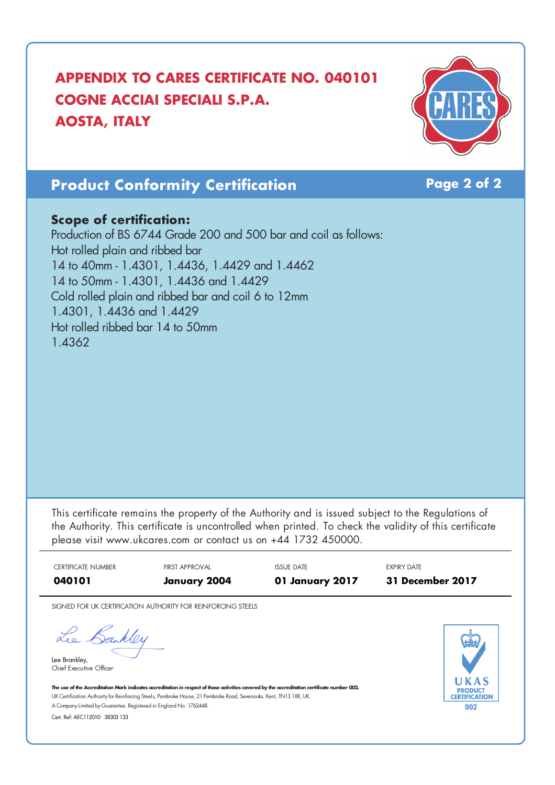# **APPENDIX TO CARES CERTIFICATE NO. 040101 COGNE ACCIAI SPECIALI S.P.A. AOSTA, ITALY**



# **Product Conformity Certification Page 2 of 2**

#### **Scope of certification:**

Production of BS 6744 Grade 200 and 500 bar and coil as follows: Hot rolled plain and ribbed bar 14 to 40mm - 1.4301, 1.4436, 1.4429 and 1.4462 14 to 50mm - 1.4301, 1.4436 and 1.4429 Cold rolled plain and ribbed bar and coil 6 to 12mm 1.4301, 1.4436 and 1.4429 Hot rolled ribbed bar 14 to 50mm 1.4362

This certificate remains the property of the Authority and is issued subject to the Regulations of the Authority. This certificate is uncontrolled when printed. To check the validity of this certificate please visit www.ukcares.com or contact us on +44 1732 450000.